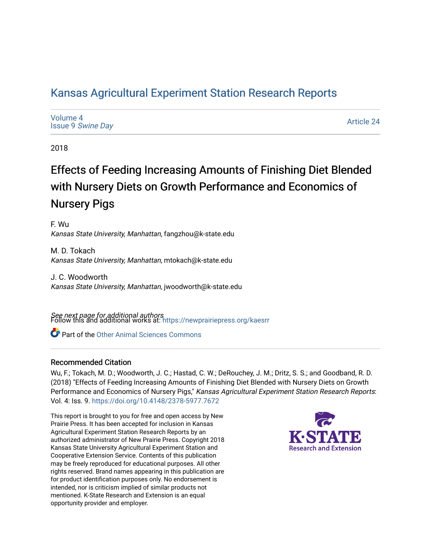# [Kansas Agricultural Experiment Station Research Reports](https://newprairiepress.org/kaesrr)

| Volume 4                 |  |
|--------------------------|--|
| <b>Issue 9 Swine Day</b> |  |

[Article 24](https://newprairiepress.org/kaesrr/vol4/iss9/24) 

2018

# Effects of Feeding Increasing Amounts of Finishing Diet Blended with Nursery Diets on Growth Performance and Economics of Nursery Pigs

F. Wu Kansas State University, Manhattan, fangzhou@k-state.edu

M. D. Tokach Kansas State University, Manhattan, mtokach@k-state.edu

J. C. Woodworth Kansas State University, Manhattan, jwoodworth@k-state.edu

**See next page for additional authors**<br>Follow this and additional works at: https://newprairiepress.org/kaesrr

Part of the [Other Animal Sciences Commons](http://network.bepress.com/hgg/discipline/82?utm_source=newprairiepress.org%2Fkaesrr%2Fvol4%2Fiss9%2F24&utm_medium=PDF&utm_campaign=PDFCoverPages)

## Recommended Citation

Wu, F.; Tokach, M. D.; Woodworth, J. C.; Hastad, C. W.; DeRouchey, J. M.; Dritz, S. S.; and Goodband, R. D. (2018) "Effects of Feeding Increasing Amounts of Finishing Diet Blended with Nursery Diets on Growth Performance and Economics of Nursery Pigs," Kansas Agricultural Experiment Station Research Reports: Vol. 4: Iss. 9. <https://doi.org/10.4148/2378-5977.7672>

This report is brought to you for free and open access by New Prairie Press. It has been accepted for inclusion in Kansas Agricultural Experiment Station Research Reports by an authorized administrator of New Prairie Press. Copyright 2018 Kansas State University Agricultural Experiment Station and Cooperative Extension Service. Contents of this publication may be freely reproduced for educational purposes. All other rights reserved. Brand names appearing in this publication are for product identification purposes only. No endorsement is intended, nor is criticism implied of similar products not mentioned. K-State Research and Extension is an equal opportunity provider and employer.

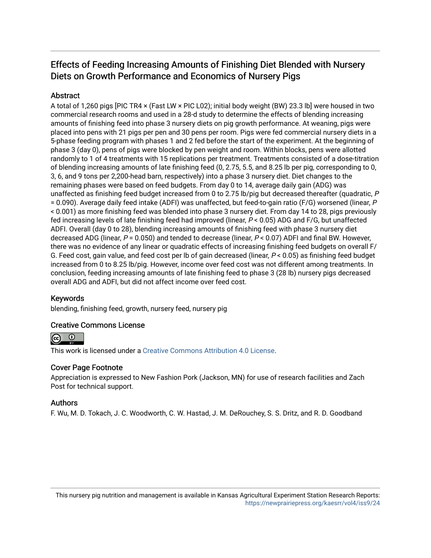# Effects of Feeding Increasing Amounts of Finishing Diet Blended with Nursery Diets on Growth Performance and Economics of Nursery Pigs

# **Abstract**

A total of 1,260 pigs [PIC TR4 × (Fast LW × PIC L02); initial body weight (BW) 23.3 lb] were housed in two commercial research rooms and used in a 28-d study to determine the effects of blending increasing amounts of finishing feed into phase 3 nursery diets on pig growth performance. At weaning, pigs were placed into pens with 21 pigs per pen and 30 pens per room. Pigs were fed commercial nursery diets in a 5-phase feeding program with phases 1 and 2 fed before the start of the experiment. At the beginning of phase 3 (day 0), pens of pigs were blocked by pen weight and room. Within blocks, pens were allotted randomly to 1 of 4 treatments with 15 replications per treatment. Treatments consisted of a dose-titration of blending increasing amounts of late finishing feed (0, 2.75, 5.5, and 8.25 lb per pig, corresponding to 0, 3, 6, and 9 tons per 2,200-head barn, respectively) into a phase 3 nursery diet. Diet changes to the remaining phases were based on feed budgets. From day 0 to 14, average daily gain (ADG) was unaffected as finishing feed budget increased from 0 to 2.75 lb/pig but decreased thereafter (quadratic, P = 0.090). Average daily feed intake (ADFI) was unaffected, but feed-to-gain ratio (F/G) worsened (linear, P < 0.001) as more finishing feed was blended into phase 3 nursery diet. From day 14 to 28, pigs previously fed increasing levels of late finishing feed had improved (linear, P < 0.05) ADG and F/G, but unaffected ADFI. Overall (day 0 to 28), blending increasing amounts of finishing feed with phase 3 nursery diet decreased ADG (linear,  $P = 0.050$ ) and tended to decrease (linear,  $P < 0.07$ ) ADFI and final BW. However, there was no evidence of any linear or quadratic effects of increasing finishing feed budgets on overall F/ G. Feed cost, gain value, and feed cost per lb of gain decreased (linear, P < 0.05) as finishing feed budget increased from 0 to 8.25 lb/pig. However, income over feed cost was not different among treatments. In conclusion, feeding increasing amounts of late finishing feed to phase 3 (28 lb) nursery pigs decreased overall ADG and ADFI, but did not affect income over feed cost.

# Keywords

blending, finishing feed, growth, nursery feed, nursery pig

## Creative Commons License



This work is licensed under a [Creative Commons Attribution 4.0 License](https://creativecommons.org/licenses/by/4.0/).

## Cover Page Footnote

Appreciation is expressed to New Fashion Pork (Jackson, MN) for use of research facilities and Zach Post for technical support.

## Authors

F. Wu, M. D. Tokach, J. C. Woodworth, C. W. Hastad, J. M. DeRouchey, S. S. Dritz, and R. D. Goodband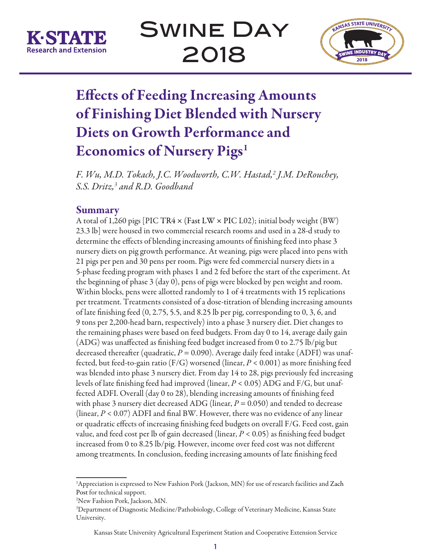



# Effects of Feeding Increasing Amounts of Finishing Diet Blended with Nursery Diets on Growth Performance and Economics of Nursery Pigs<sup>1</sup>

*F. Wu, M.D. Tokach, J.C. Woodworth, C.W. Hastad,2 J.M. DeRouchey, S.S. Dritz,3 and R.D. Goodband* 

# Summary

A total of 1,260 pigs [PIC TR4 × (Fast LW × PIC L02); initial body weight (BW) 23.3 lb] were housed in two commercial research rooms and used in a 28-d study to determine the effects of blending increasing amounts of finishing feed into phase 3 nursery diets on pig growth performance. At weaning, pigs were placed into pens with 21 pigs per pen and 30 pens per room. Pigs were fed commercial nursery diets in a 5-phase feeding program with phases 1 and 2 fed before the start of the experiment. At the beginning of phase 3 (day 0), pens of pigs were blocked by pen weight and room. Within blocks, pens were allotted randomly to 1 of 4 treatments with 15 replications per treatment. Treatments consisted of a dose-titration of blending increasing amounts of late finishing feed (0, 2.75, 5.5, and 8.25 lb per pig, corresponding to 0, 3, 6, and 9 tons per 2,200-head barn, respectively) into a phase 3 nursery diet. Diet changes to the remaining phases were based on feed budgets. From day 0 to 14, average daily gain (ADG) was unaffected as finishing feed budget increased from 0 to 2.75 lb/pig but decreased thereafter (quadratic,  $P = 0.090$ ). Average daily feed intake (ADFI) was unaffected, but feed-to-gain ratio (F/G) worsened (linear, *P* < 0.001) as more finishing feed was blended into phase 3 nursery diet. From day 14 to 28, pigs previously fed increasing levels of late finishing feed had improved (linear, *P* < 0.05) ADG and F/G, but unaffected ADFI. Overall (day 0 to 28), blending increasing amounts of finishing feed with phase 3 nursery diet decreased ADG (linear,  $P = 0.050$ ) and tended to decrease (linear, *P* < 0.07) ADFI and final BW. However, there was no evidence of any linear or quadratic effects of increasing finishing feed budgets on overall F/G. Feed cost, gain value, and feed cost per lb of gain decreased (linear, *P* < 0.05) as finishing feed budget increased from 0 to 8.25 lb/pig. However, income over feed cost was not different among treatments. In conclusion, feeding increasing amounts of late finishing feed

<sup>1</sup> Appreciation is expressed to New Fashion Pork (Jackson, MN) for use of research facilities and Zach Post for technical support.

<sup>2</sup> New Fashion Pork, Jackson, MN.

<sup>3</sup> Department of Diagnostic Medicine/Pathobiology, College of Veterinary Medicine, Kansas State University.

Kansas State University Agricultural Experiment Station and Cooperative Extension Service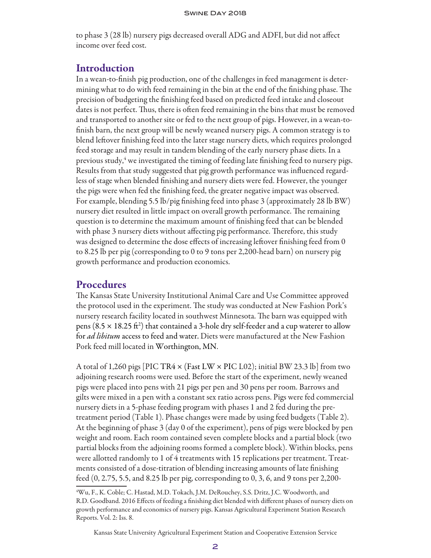to phase 3 (28 lb) nursery pigs decreased overall ADG and ADFI, but did not affect income over feed cost.

# Introduction

In a wean-to-finish pig production, one of the challenges in feed management is determining what to do with feed remaining in the bin at the end of the finishing phase. The precision of budgeting the finishing feed based on predicted feed intake and closeout dates is not perfect. Thus, there is often feed remaining in the bins that must be removed and transported to another site or fed to the next group of pigs. However, in a wean-tofinish barn, the next group will be newly weaned nursery pigs. A common strategy is to blend leftover finishing feed into the later stage nursery diets, which requires prolonged feed storage and may result in tandem blending of the early nursery phase diets. In a previous study,<sup>4</sup> we investigated the timing of feeding late finishing feed to nursery pigs. Results from that study suggested that pig growth performance was influenced regardless of stage when blended finishing and nursery diets were fed. However, the younger the pigs were when fed the finishing feed, the greater negative impact was observed. For example, blending 5.5 lb/pig finishing feed into phase 3 (approximately 28 lb BW) nursery diet resulted in little impact on overall growth performance. The remaining question is to determine the maximum amount of finishing feed that can be blended with phase 3 nursery diets without affecting pig performance. Therefore, this study was designed to determine the dose effects of increasing leftover finishing feed from 0 to 8.25 lb per pig (corresponding to 0 to 9 tons per 2,200-head barn) on nursery pig growth performance and production economics.

# **Procedures**

The Kansas State University Institutional Animal Care and Use Committee approved the protocol used in the experiment. The study was conducted at New Fashion Pork's nursery research facility located in southwest Minnesota. The barn was equipped with pens (8.5  $\times$  18.25 ft<sup>2</sup>) that contained a 3-hole dry self-feeder and a cup waterer to allow for *ad libitum* access to feed and water. Diets were manufactured at the New Fashion Pork feed mill located in Worthington, MN.

A total of 1,260 pigs [PIC TR4  $\times$  (Fast LW  $\times$  PIC L02); initial BW 23.3 lb] from two adjoining research rooms were used. Before the start of the experiment, newly weaned pigs were placed into pens with 21 pigs per pen and 30 pens per room. Barrows and gilts were mixed in a pen with a constant sex ratio across pens. Pigs were fed commercial nursery diets in a 5-phase feeding program with phases 1 and 2 fed during the pretreatment period (Table 1). Phase changes were made by using feed budgets (Table 2). At the beginning of phase 3 (day 0 of the experiment), pens of pigs were blocked by pen weight and room. Each room contained seven complete blocks and a partial block (two partial blocks from the adjoining rooms formed a complete block). Within blocks, pens were allotted randomly to 1 of 4 treatments with 15 replications per treatment. Treatments consisted of a dose-titration of blending increasing amounts of late finishing feed (0, 2.75, 5.5, and 8.25 lb per pig, corresponding to 0, 3, 6, and 9 tons per 2,200-

Kansas State University Agricultural Experiment Station and Cooperative Extension Service

<sup>4</sup> Wu, F., K. Coble; C. Hastad, M.D. Tokach, J.M. DeRouchey, S.S. Dritz, J.C. Woodworth, and R.D. Goodband. 2016 Effects of feeding a finishing diet blended with different phases of nursery diets on growth performance and economics of nursery pigs. Kansas Agricultural Experiment Station Research Reports. Vol. 2: Iss. 8.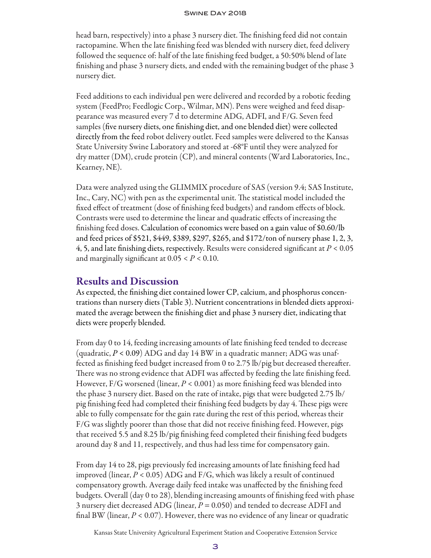head barn, respectively) into a phase 3 nursery diet. The finishing feed did not contain ractopamine. When the late finishing feed was blended with nursery diet, feed delivery followed the sequence of: half of the late finishing feed budget, a 50:50% blend of late finishing and phase 3 nursery diets, and ended with the remaining budget of the phase 3 nursery diet.

Feed additions to each individual pen were delivered and recorded by a robotic feeding system (FeedPro; Feedlogic Corp., Wilmar, MN). Pens were weighed and feed disappearance was measured every 7 d to determine ADG, ADFI, and F/G. Seven feed samples (five nursery diets, one finishing diet, and one blended diet) were collected directly from the feed robot delivery outlet. Feed samples were delivered to the Kansas State University Swine Laboratory and stored at -68°F until they were analyzed for dry matter (DM), crude protein (CP), and mineral contents (Ward Laboratories, Inc., Kearney, NE).

Data were analyzed using the GLIMMIX procedure of SAS (version 9.4; SAS Institute, Inc., Cary, NC) with pen as the experimental unit. The statistical model included the fixed effect of treatment (dose of finishing feed budgets) and random effects of block. Contrasts were used to determine the linear and quadratic effects of increasing the finishing feed doses. Calculation of economics were based on a gain value of \$0.60/lb and feed prices of \$521, \$449, \$389, \$297, \$265, and \$172/ton of nursery phase 1, 2, 3, 4, 5, and late finishing diets, respectively. Results were considered significant at *P* < 0.05 and marginally significant at 0.05 < *P* < 0.10.

## Results and Discussion

As expected, the finishing diet contained lower CP, calcium, and phosphorus concentrations than nursery diets (Table 3). Nutrient concentrations in blended diets approximated the average between the finishing diet and phase 3 nursery diet, indicating that diets were properly blended.

From day 0 to 14, feeding increasing amounts of late finishing feed tended to decrease (quadratic,  $P < 0.09$ ) ADG and day 14 BW in a quadratic manner; ADG was unaffected as finishing feed budget increased from 0 to 2.75 lb/pig but decreased thereafter. There was no strong evidence that ADFI was affected by feeding the late finishing feed. However, F/G worsened (linear, *P* < 0.001) as more finishing feed was blended into the phase 3 nursery diet. Based on the rate of intake, pigs that were budgeted 2.75 lb/ pig finishing feed had completed their finishing feed budgets by day 4. These pigs were able to fully compensate for the gain rate during the rest of this period, whereas their F/G was slightly poorer than those that did not receive finishing feed. However, pigs that received 5.5 and 8.25 lb/pig finishing feed completed their finishing feed budgets around day 8 and 11, respectively, and thus had less time for compensatory gain.

From day 14 to 28, pigs previously fed increasing amounts of late finishing feed had improved (linear, *P* < 0.05) ADG and F/G, which was likely a result of continued compensatory growth. Average daily feed intake was unaffected by the finishing feed budgets. Overall (day 0 to 28), blending increasing amounts of finishing feed with phase 3 nursery diet decreased ADG (linear, *P* = 0.050) and tended to decrease ADFI and final BW (linear,  $P < 0.07$ ). However, there was no evidence of any linear or quadratic

Kansas State University Agricultural Experiment Station and Cooperative Extension Service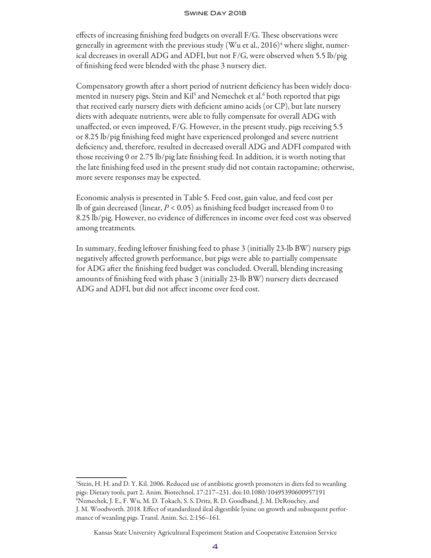effects of increasing finishing feed budgets on overall F/G. These observations were generally in agreement with the previous study (Wu et al., 2016) $^4$  where slight, numerical decreases in overall ADG and ADFI, but not F/G, were observed when 5.5 lb/pig of finishing feed were blended with the phase 3 nursery diet.

Compensatory growth after a short period of nutrient deficiency has been widely documented in nursery pigs. Stein and Kil<sup>5</sup> and Nemechek et al.<sup>6</sup> both reported that pigs that received early nursery diets with deficient amino acids (or CP), but late nursery diets with adequate nutrients, were able to fully compensate for overall ADG with unaffected, or even improved, F/G. However, in the present study, pigs receiving 5.5 or 8.25 lb/pig finishing feed might have experienced prolonged and severe nutrient deficiency and, therefore, resulted in decreased overall ADG and ADFI compared with those receiving 0 or 2.75 lb/pig late finishing feed. In addition, it is worth noting that the late finishing feed used in the present study did not contain ractopamine; otherwise, more severe responses may be expected.

Economic analysis is presented in Table 5. Feed cost, gain value, and feed cost per lb of gain decreased (linear, *P* < 0.05) as finishing feed budget increased from 0 to 8.25 lb/pig. However, no evidence of differences in income over feed cost was observed among treatments.

In summary, feeding leftover finishing feed to phase 3 (initially 23-lb BW) nursery pigs negatively affected growth performance, but pigs were able to partially compensate for ADG after the finishing feed budget was concluded. Overall, blending increasing amounts of finishing feed with phase 3 (initially 23-lb BW) nursery diets decreased ADG and ADFI, but did not affect income over feed cost.

<sup>5</sup> Stein, H. H. and D. Y. Kil. 2006. Reduced use of antibiotic growth promoters in diets fed to weanling pigs: Dietary tools, part 2. Anim. Biotechnol. 17:217–231. doi:10.1080/10495390600957191 6 Nemechek, J. E., F. Wu, M. D. Tokach, S. S. Dritz, R. D. Goodband, J. M. DeRouchey, and J. M. Woodworth. 2018. Effect of standardized ileal digestible lysine on growth and subsequent performance of weanling pigs. Transl. Anim. Sci. 2:156–161.

Kansas State University Agricultural Experiment Station and Cooperative Extension Service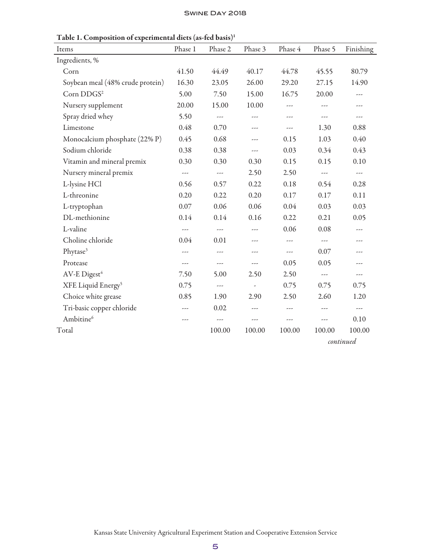| Items                            | Phase 1              | Phase 2              | Phase 3                  | Phase 4 | Phase 5                  | Finishing            |
|----------------------------------|----------------------|----------------------|--------------------------|---------|--------------------------|----------------------|
| Ingredients, %                   |                      |                      |                          |         |                          |                      |
| Corn                             | 41.50                | 44.49                | 40.17                    | 44.78   | 45.55                    | 80.79                |
| Soybean meal (48% crude protein) | 16.30                | 23.05                | 26.00                    | 29.20   | 27.15                    | 14.90                |
| Corn DDGS <sup>2</sup>           | 5.00                 | 7.50                 | 15.00                    | 16.75   | 20.00                    | ---                  |
| Nursery supplement               | 20.00                | 15.00                | 10.00                    | $---$   |                          | ---                  |
| Spray dried whey                 | 5.50                 | ---                  | $---$                    |         | $---$                    | $---$                |
| Limestone                        | 0.48                 | 0.70                 | ---                      | ---     | 1.30                     | 0.88                 |
| Monocalcium phosphate (22% P)    | 0.45                 | 0.68                 | $---$                    | 0.15    | 1.03                     | 0.40                 |
| Sodium chloride                  | 0.38                 | 0.38                 | ---                      | 0.03    | 0.34                     | 0.43                 |
| Vitamin and mineral premix       | 0.30                 | 0.30                 | 0.30                     | 0.15    | 0.15                     | 0.10                 |
| Nursery mineral premix           | $\sim$ $\sim$ $\sim$ | $\sim$ $\sim$ $\sim$ | 2.50                     | 2.50    | $\sim$ $\sim$ $\sim$     | $\sim$ $\sim$ $\sim$ |
| L-lysine HCl                     | 0.56                 | 0.57                 | 0.22                     | 0.18    | 0.54                     | 0.28                 |
| L-threonine                      | 0.20                 | 0.22                 | 0.20                     | 0.17    | 0.17                     | 0.11                 |
| L-tryptophan                     | 0.07                 | 0.06                 | 0.06                     | 0.04    | 0.03                     | 0.03                 |
| DL-methionine                    | 0.14                 | 0.14                 | 0.16                     | 0.22    | 0.21                     | 0.05                 |
| L-valine                         | $---$                | $---$                | $\overline{a}$           | 0.06    | 0.08                     | ---                  |
| Choline chloride                 | 0.04                 | 0.01                 | $---$                    | ---     | ---                      | ---                  |
| Phytase <sup>3</sup>             | ---                  | ---                  | ---                      | ---     | 0.07                     | ---                  |
| Protease                         | ---                  | ---                  | ---                      | 0.05    | 0.05                     | ---                  |
| AV-E Digest <sup>4</sup>         | 7.50                 | 5.00                 | 2.50                     | 2.50    | $\overline{\phantom{a}}$ | ---                  |
| XFE Liquid Energy <sup>5</sup>   | 0.75                 | $\sim$ $\sim$ $\sim$ | $\overline{\phantom{a}}$ | 0.75    | 0.75                     | 0.75                 |
| Choice white grease              | 0.85                 | 1.90                 | 2.90                     | 2.50    | 2.60                     | 1.20                 |
| Tri-basic copper chloride        | ---                  | 0.02                 | ---                      | $---$   | $---$                    | $\sim$ $\sim$ $\sim$ |
| Ambitine <sup>6</sup>            | ---                  | ---                  | $---$                    | ---     | ---                      | 0.10                 |
| Total                            |                      | 100.00               | 100.00                   | 100.00  | 100.00                   | 100.00               |
|                                  |                      |                      |                          |         |                          |                      |

Table 1. Composition of experimental diets (as-fed basis)<sup>1</sup>

*continued*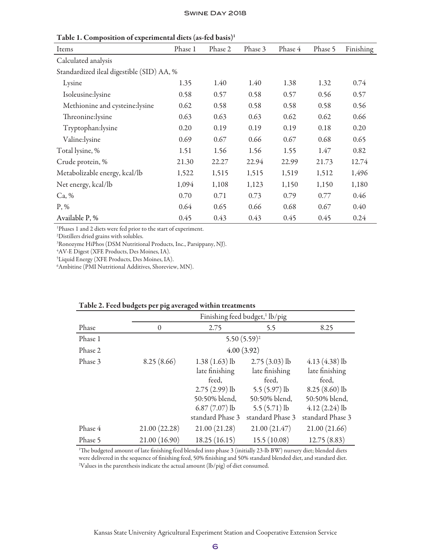| л.<br>л.                                  |         |         |         |         |         |           |
|-------------------------------------------|---------|---------|---------|---------|---------|-----------|
| Items                                     | Phase 1 | Phase 2 | Phase 3 | Phase 4 | Phase 5 | Finishing |
| Calculated analysis                       |         |         |         |         |         |           |
| Standardized ileal digestible (SID) AA, % |         |         |         |         |         |           |
| Lysine                                    | 1.35    | 1.40    | 1.40    | 1.38    | 1.32    | 0.74      |
| Isoleusine:lysine                         | 0.58    | 0.57    | 0.58    | 0.57    | 0.56    | 0.57      |
| Methionine and cysteine:lysine            | 0.62    | 0.58    | 0.58    | 0.58    | 0.58    | 0.56      |
| Threonine: lysine                         | 0.63    | 0.63    | 0.63    | 0.62    | 0.62    | 0.66      |
| Tryptophan:lysine                         | 0.20    | 0.19    | 0.19    | 0.19    | 0.18    | 0.20      |
| Valine:lysine                             | 0.69    | 0.67    | 0.66    | 0.67    | 0.68    | 0.65      |
| Total lysine, %                           | 1.51    | 1.56    | 1.56    | 1.55    | 1.47    | 0.82      |
| Crude protein, %                          | 21.30   | 22.27   | 22.94   | 22.99   | 21.73   | 12.74     |
| Metabolizable energy, kcal/lb             | 1,522   | 1,515   | 1,515   | 1,519   | 1,512   | 1,496     |
| Net energy, kcal/lb                       | 1,094   | 1,108   | 1,123   | 1,150   | 1,150   | 1,180     |
| Ca, %                                     | 0.70    | 0.71    | 0.73    | 0.79    | 0.77    | 0.46      |
| $P, \%$                                   | 0.64    | 0.65    | 0.66    | 0.68    | 0.67    | 0.40      |
| Available P, %                            | 0.45    | 0.43    | 0.43    | 0.45    | 0.45    | 0.24      |

Table 1. Composition of experimental diets (as-fed basis)1

1 Phases 1 and 2 diets were fed prior to the start of experiment.

2 Distillers dried grains with solubles.

3 Ronozyme HiPhos (DSM Nutritional Products, Inc., Parsippany, NJ).

4 AV-E Digest (XFE Products, Des Moines, IA).

5 Liquid Energy (XFE Products, Des Moines, IA).

6 Ambitine (PMI Nutritional Additives, Shoreview, MN).

|         | Finishing feed budget, <sup>1</sup> lb/pig |                  |                  |                  |  |  |  |
|---------|--------------------------------------------|------------------|------------------|------------------|--|--|--|
| Phase   | $\theta$                                   | 2.75             | 5.5              | 8.25             |  |  |  |
| Phase 1 |                                            |                  | $5.50(5.59)^2$   |                  |  |  |  |
| Phase 2 |                                            |                  | 4.00(3.92)       |                  |  |  |  |
| Phase 3 | 8.25(8.66)                                 | $1.38(1.63)$ lb  | $2.75(3.03)$ lb  | $4.13(4.38)$ lb  |  |  |  |
|         |                                            | late finishing   | late finishing   | late finishing   |  |  |  |
|         |                                            | feed,            | feed,            | feed,            |  |  |  |
|         |                                            | $2.75(2.99)$ lb  | $5.5(5.97)$ lb   | $8.25(8.60)$ lb  |  |  |  |
|         |                                            | 50:50% blend,    | 50:50% blend,    | 50:50% blend,    |  |  |  |
|         |                                            | $6.87(7.07)$ lb  | $5.5(5.71)$ lb   | $4.12(2.24)$ lb  |  |  |  |
|         |                                            | standard Phase 3 | standard Phase 3 | standard Phase 3 |  |  |  |
| Phase 4 | 21.00 (22.28)                              | 21.00 (21.28)    | 21.00(21.47)     | 21.00(21.66)     |  |  |  |
| Phase 5 | 21.00 (16.90)                              | 18.25(16.15)     | 15.5(10.08)      | 12.75(8.83)      |  |  |  |

## Table 2. Feed budgets per pig averaged within treatments

1 The budgeted amount of late finishing feed blended into phase 3 (initially 23-lb BW) nursery diet; blended diets were delivered in the sequence of finishing feed, 50% finishing and 50% standard blended diet, and standard diet.  $^{\rm 2V}$ alues in the parenthesis indicate the actual amount (lb/pig) of diet consumed.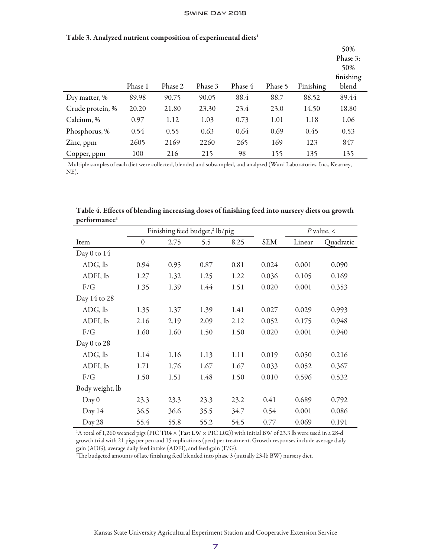|                  |         |         |         |         |         |           | 50%       |
|------------------|---------|---------|---------|---------|---------|-----------|-----------|
|                  |         |         |         |         |         |           | Phase 3:  |
|                  |         |         |         |         |         |           | 50%       |
|                  |         |         |         |         |         |           | finishing |
|                  | Phase 1 | Phase 2 | Phase 3 | Phase 4 | Phase 5 | Finishing | blend     |
| Dry matter, %    | 89.98   | 90.75   | 90.05   | 88.4    | 88.7    | 88.52     | 89.44     |
| Crude protein, % | 20.20   | 21.80   | 23.30   | 23.4    | 23.0    | 14.50     | 18.80     |
| Calcium, %       | 0.97    | 1.12    | 1.03    | 0.73    | 1.01    | 1.18      | 1.06      |
| Phosphorus, %    | 0.54    | 0.55    | 0.63    | 0.64    | 0.69    | 0.45      | 0.53      |
| Zinc, ppm        | 2605    | 2169    | 2260    | 265     | 169     | 123       | 847       |
| Copper, ppm      | 100     | 216     | 215     | 98      | 155     | 135       | 135       |

#### Table 3. Analyzed nutrient composition of experimental diets<sup>1</sup>

1 Multiple samples of each diet were collected, blended and subsampled, and analyzed (Ward Laboratories, Inc., Kearney, NE).

|                 | Finishing feed budget, <sup>2</sup> lb/pig |      |      |      |            |        | $P$ value, < |
|-----------------|--------------------------------------------|------|------|------|------------|--------|--------------|
| Item            | $\boldsymbol{0}$                           | 2.75 | 5.5  | 8.25 | <b>SEM</b> | Linear | Quadratic    |
| Day 0 to $14$   |                                            |      |      |      |            |        |              |
| ADG, lb         | 0.94                                       | 0.95 | 0.87 | 0.81 | 0.024      | 0.001  | 0.090        |
| ADFI, lb        | 1.27                                       | 1.32 | 1.25 | 1.22 | 0.036      | 0.105  | 0.169        |
| F/G             | 1.35                                       | 1.39 | 1.44 | 1.51 | 0.020      | 0.001  | 0.353        |
| Day 14 to 28    |                                            |      |      |      |            |        |              |
| ADG, lb         | 1.35                                       | 1.37 | 1.39 | 1.41 | 0.027      | 0.029  | 0.993        |
| ADFI, lb        | 2.16                                       | 2.19 | 2.09 | 2.12 | 0.052      | 0.175  | 0.948        |
| F/G             | 1.60                                       | 1.60 | 1.50 | 1.50 | 0.020      | 0.001  | 0.940        |
| Day 0 to 28     |                                            |      |      |      |            |        |              |
| ADG, lb         | 1.14                                       | 1.16 | 1.13 | 1.11 | 0.019      | 0.050  | 0.216        |
| ADFI, lb        | 1.71                                       | 1.76 | 1.67 | 1.67 | 0.033      | 0.052  | 0.367        |
| F/G             | 1.50                                       | 1.51 | 1.48 | 1.50 | 0.010      | 0.596  | 0.532        |
| Body weight, lb |                                            |      |      |      |            |        |              |
| Day 0           | 23.3                                       | 23.3 | 23.3 | 23.2 | 0.41       | 0.689  | 0.792        |
| Day 14          | 36.5                                       | 36.6 | 35.5 | 34.7 | 0.54       | 0.001  | 0.086        |
| Day 28          | 55.4                                       | 55.8 | 55.2 | 54.5 | 0.77       | 0.069  | 0.191        |

Table 4. Effects of blending increasing doses of finishing feed into nursery diets on growth performance<sup>1</sup>

1 A total of 1,260 weaned pigs (PIC TR4 × (Fast LW × PIC L02)) with initial BW of 23.3 lb were used in a 28-d growth trial with 21 pigs per pen and 15 replications (pen) per treatment. Growth responses include average daily gain (ADG), average daily feed intake (ADFI), and feed:gain (F/G).

2 The budgeted amounts of late finishing feed blended into phase 3 (initially 23-lb BW) nursery diet.